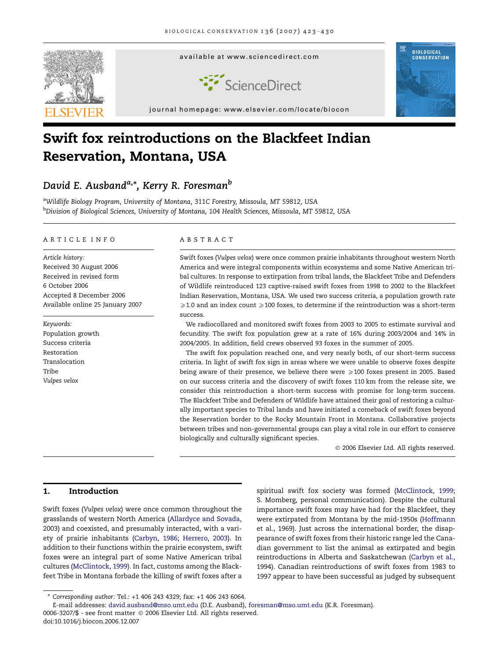

# Swift fox reintroductions on the Blackfeet Indian Reservation, Montana, USA

## David E. Ausband<sup>a,\*</sup>, Kerry R. Foresman<sup>b</sup>

<sup>a</sup>Wildlife Biology Program, University of Montana, 311C Forestry, Missoula, MT 59812, USA <sup>b</sup>Division of Biological Sciences, University of Montana, 104 Health Sciences, Missoula, MT 59812, USA

#### ARTICLE INFO

Article history: Received 30 August 2006 Received in revised form 6 October 2006 Accepted 8 December 2006 Available online 25 January 2007

Keywords: Population growth Success criteria Restoration Translocation Tribe Vulpes velox

#### ABSTRACT

Swift foxes (Vulpes velox) were once common prairie inhabitants throughout western North America and were integral components within ecosystems and some Native American tribal cultures. In response to extirpation from tribal lands, the Blackfeet Tribe and Defenders of Wildlife reintroduced 123 captive-raised swift foxes from 1998 to 2002 to the Blackfeet Indian Reservation, Montana, USA. We used two success criteria, a population growth rate  $\geqslant$  1.0 and an index count  $\geqslant$  100 foxes, to determine if the reintroduction was a short-term success.

We radiocollared and monitored swift foxes from 2003 to 2005 to estimate survival and fecundity. The swift fox population grew at a rate of 16% during 2003/2004 and 14% in 2004/2005. In addition, field crews observed 93 foxes in the summer of 2005.

The swift fox population reached one, and very nearly both, of our short-term success criteria. In light of swift fox sign in areas where we were unable to observe foxes despite being aware of their presence, we believe there were  $\geqslant$  100 foxes present in 2005. Based on our success criteria and the discovery of swift foxes 110 km from the release site, we consider this reintroduction a short-term success with promise for long-term success. The Blackfeet Tribe and Defenders of Wildlife have attained their goal of restoring a culturally important species to Tribal lands and have initiated a comeback of swift foxes beyond the Reservation border to the Rocky Mountain Front in Montana. Collaborative projects between tribes and non-governmental groups can play a vital role in our effort to conserve biologically and culturally significant species.

- 2006 Elsevier Ltd. All rights reserved.

## 1. Introduction

Swift foxes (Vulpes velox) were once common throughout the grasslands of western North America [\(Allardyce and Sovada,](#page-6-0) [2003](#page-6-0)) and coexisted, and presumably interacted, with a variety of prairie inhabitants ([Carbyn, 1986; Herrero, 2003\)](#page-6-0). In addition to their functions within the prairie ecosystem, swift foxes were an integral part of some Native American tribal cultures ([McClintock, 1999](#page-6-0)). In fact, customs among the Blackfeet Tribe in Montana forbade the killing of swift foxes after a

spiritual swift fox society was formed [\(McClintock, 1999;](#page-6-0) S. Momberg, personal communication). Despite the cultural importance swift foxes may have had for the Blackfeet, they were extirpated from Montana by the mid-1950s [\(Hoffmann](#page-6-0) [et al., 1969](#page-6-0)). Just across the international border, the disappearance of swift foxes from their historic range led the Canadian government to list the animal as extirpated and begin reintroductions in Alberta and Saskatchewan ([Carbyn et al.,](#page-6-0) [1994](#page-6-0)). Canadian reintroductions of swift foxes from 1983 to 1997 appear to have been successful as judged by subsequent

<sup>\*</sup> Corresponding author: Tel.: +1 406 243 4329; fax: +1 406 243 6064.

<sup>0006-3207/\$ -</sup> see front matter © 2006 Elsevier Ltd. All rights reserved. E-mail addresses: [david.ausband@mso.umt.edu](mailto:david.ausband@mso.umt.edu) (D.E. Ausband), [foresman@mso.umt.edu](mailto:foresman@mso.umt.edu) (K.R. Foresman).

doi:10.1016/j.biocon.2006.12.007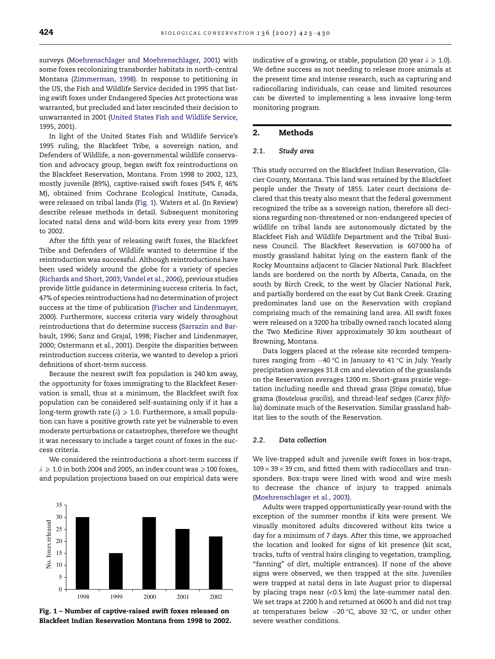surveys [\(Moehrenschlager and Moehrenschlager, 2001](#page-6-0)) with some foxes recolonizing transborder habitats in north-central Montana [\(Zimmerman, 1998](#page-7-0)). In response to petitioning in the US, the Fish and Wildlife Service decided in 1995 that listing swift foxes under Endangered Species Act protections was warranted, but precluded and later rescinded their decision to unwarranted in 2001 ([United States Fish and Wildlife Service,](#page-6-0) [1995, 2001](#page-6-0)).

In light of the United States Fish and Wildlife Service's 1995 ruling, the Blackfeet Tribe, a sovereign nation, and Defenders of Wildlife, a non-governmental wildlife conservation and advocacy group, began swift fox reintroductions on the Blackfeet Reservation, Montana. From 1998 to 2002, 123, mostly juvenile (89%), captive-raised swift foxes (54% F, 46% M), obtained from Cochrane Ecological Institute, Canada, were released on tribal lands (Fig. 1). Waters et al. (In Review) describe release methods in detail. Subsequent monitoring located natal dens and wild-born kits every year from 1999 to 2002.

After the fifth year of releasing swift foxes, the Blackfeet Tribe and Defenders of Wildlife wanted to determine if the reintroduction was successful. Although reintroductions have been used widely around the globe for a variety of species ([Richards and Short, 2003; Vandel et al., 2006\)](#page-6-0), previous studies provide little guidance in determining success criteria. In fact, 47% of species reintroductions had no determination of project success at the time of publication [\(Fischer and Lindenmayer,](#page-6-0) [2000\)](#page-6-0). Furthermore, success criteria vary widely throughout reintroductions that do determine success [\(Sarrazin and Bar](#page-6-0)[bault, 1996; Sanz and Grajal, 1998; Fischer and Lindenmayer,](#page-6-0) [2000; Ostermann et al., 2001\)](#page-6-0). Despite the disparities between reintroduction success criteria, we wanted to develop a priori definitions of short-term success.

Because the nearest swift fox population is 240 km away, the opportunity for foxes immigrating to the Blackfeet Reservation is small, thus at a minimum, the Blackfeet swift fox population can be considered self-sustaining only if it has a long-term growth rate ( $\lambda$ )  $\ge$  1.0. Furthermore, a small population can have a positive growth rate yet be vulnerable to even moderate perturbations or catastrophes, therefore we thought it was necessary to include a target count of foxes in the success criteria.

We considered the reintroductions a short-term success if  $\lambda \geqslant 1.0$  in both 2004 and 2005, an index count was  $\geqslant$  100 foxes, and population projections based on our empirical data were



Fig. 1 – Number of captive-raised swift foxes released on Blackfeet Indian Reservation Montana from 1998 to 2002.

indicative of a growing, or stable, population (20 year  $\lambda \ge 1.0$ ). We define success as not needing to release more animals at the present time and intense research, such as capturing and radiocollaring individuals, can cease and limited resources can be diverted to implementing a less invasive long-term monitoring program.

## 2. Methods

#### 2.1. Study area

This study occurred on the Blackfeet Indian Reservation, Glacier County, Montana. This land was retained by the Blackfeet people under the Treaty of 1855. Later court decisions declared that this treaty also meant that the federal government recognized the tribe as a sovereign nation, therefore all decisions regarding non-threatened or non-endangered species of wildlife on tribal lands are autonomously dictated by the Blackfeet Fish and Wildlife Department and the Tribal Business Council. The Blackfeet Reservation is 607 000 ha of mostly grassland habitat lying on the eastern flank of the Rocky Mountains adjacent to Glacier National Park. Blackfeet lands are bordered on the north by Alberta, Canada, on the south by Birch Creek, to the west by Glacier National Park, and partially bordered on the east by Cut Bank Creek. Grazing predominates land use on the Reservation with cropland comprising much of the remaining land area. All swift foxes were released on a 3200 ha tribally owned ranch located along the Two Medicine River approximately 30 km southeast of Browning, Montana.

Data loggers placed at the release site recorded temperatures ranging from  $-40\,^{\circ}\text{C}$  in January to 41  $^{\circ}\text{C}$  in July. Yearly precipitation averages 31.8 cm and elevation of the grasslands on the Reservation averages 1200 m. Short-grass prairie vegetation including needle and thread grass (Stipa comata), blue grama (Bouteloua gracilis), and thread-leaf sedges (Carex filifolia) dominate much of the Reservation. Similar grassland habitat lies to the south of the Reservation.

#### 2.2. Data collection

We live-trapped adult and juvenile swift foxes in box-traps,  $109 \times 39 \times 39$  cm, and fitted them with radiocollars and transponders. Box-traps were lined with wood and wire mesh to decrease the chance of injury to trapped animals ([Moehrenschlager et al., 2003](#page-6-0)).

Adults were trapped opportunistically year-round with the exception of the summer months if kits were present. We visually monitored adults discovered without kits twice a day for a minimum of 7 days. After this time, we approached the location and looked for signs of kit presence (kit scat, tracks, tufts of ventral hairs clinging to vegetation, trampling, "fanning" of dirt, multiple entrances). If none of the above signs were observed, we then trapped at the site. Juveniles were trapped at natal dens in late August prior to dispersal by placing traps near (<0.5 km) the late-summer natal den. We set traps at 2200 h and returned at 0600 h and did not trap at temperatures below  $-20$  °C, above 32 °C, or under other severe weather conditions.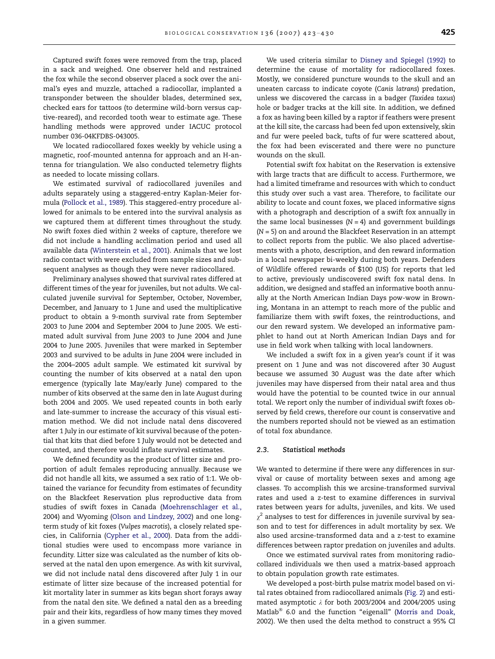Captured swift foxes were removed from the trap, placed in a sack and weighed. One observer held and restrained the fox while the second observer placed a sock over the animal's eyes and muzzle, attached a radiocollar, implanted a transponder between the shoulder blades, determined sex, checked ears for tattoos (to determine wild-born versus captive-reared), and recorded tooth wear to estimate age. These handling methods were approved under IACUC protocol number 036-04KFDBS-043005.

We located radiocollared foxes weekly by vehicle using a magnetic, roof-mounted antenna for approach and an H-antenna for triangulation. We also conducted telemetry flights as needed to locate missing collars.

We estimated survival of radiocollared juveniles and adults separately using a staggered-entry Kaplan-Meier formula ([Pollock et al., 1989](#page-6-0)). This staggered-entry procedure allowed for animals to be entered into the survival analysis as we captured them at different times throughout the study. No swift foxes died within 2 weeks of capture, therefore we did not include a handling acclimation period and used all available data [\(Winterstein et al., 2001\)](#page-7-0). Animals that we lost radio contact with were excluded from sample sizes and subsequent analyses as though they were never radiocollared.

Preliminary analyses showed that survival rates differed at different times of the year for juveniles, but not adults. We calculated juvenile survival for September, October, November, December, and January to 1 June and used the multiplicative product to obtain a 9-month survival rate from September 2003 to June 2004 and September 2004 to June 2005. We estimated adult survival from June 2003 to June 2004 and June 2004 to June 2005. Juveniles that were marked in September 2003 and survived to be adults in June 2004 were included in the 2004–2005 adult sample. We estimated kit survival by counting the number of kits observed at a natal den upon emergence (typically late May/early June) compared to the number of kits observed at the same den in late August during both 2004 and 2005. We used repeated counts in both early and late-summer to increase the accuracy of this visual estimation method. We did not include natal dens discovered after 1 July in our estimate of kit survival because of the potential that kits that died before 1 July would not be detected and counted, and therefore would inflate survival estimates.

We defined fecundity as the product of litter size and proportion of adult females reproducing annually. Because we did not handle all kits, we assumed a sex ratio of 1:1. We obtained the variance for fecundity from estimates of fecundity on the Blackfeet Reservation plus reproductive data from studies of swift foxes in Canada [\(Moehrenschlager et al.,](#page-6-0) [2004](#page-6-0)) and Wyoming [\(Olson and Lindzey, 2002\)](#page-6-0) and one longterm study of kit foxes (Vulpes macrotis), a closely related species, in California ([Cypher et al., 2000\)](#page-6-0). Data from the additional studies were used to encompass more variance in fecundity. Litter size was calculated as the number of kits observed at the natal den upon emergence. As with kit survival, we did not include natal dens discovered after July 1 in our estimate of litter size because of the increased potential for kit mortality later in summer as kits began short forays away from the natal den site. We defined a natal den as a breeding pair and their kits, regardless of how many times they moved in a given summer.

We used criteria similar to [Disney and Spiegel \(1992\)](#page-6-0) to determine the cause of mortality for radiocollared foxes. Mostly, we considered puncture wounds to the skull and an uneaten carcass to indicate coyote (Canis latrans) predation, unless we discovered the carcass in a badger (Taxidea taxus) hole or badger tracks at the kill site. In addition, we defined a fox as having been killed by a raptor if feathers were present at the kill site, the carcass had been fed upon extensively, skin and fur were peeled back, tufts of fur were scattered about, the fox had been eviscerated and there were no puncture wounds on the skull.

Potential swift fox habitat on the Reservation is extensive with large tracts that are difficult to access. Furthermore, we had a limited timeframe and resources with which to conduct this study over such a vast area. Therefore, to facilitate our ability to locate and count foxes, we placed informative signs with a photograph and description of a swift fox annually in the same local businesses  $(N = 4)$  and government buildings (N = 5) on and around the Blackfeet Reservation in an attempt to collect reports from the public. We also placed advertisements with a photo, description, and den reward information in a local newspaper bi-weekly during both years. Defenders of Wildlife offered rewards of \$100 (US) for reports that led to active, previously undiscovered swift fox natal dens. In addition, we designed and staffed an informative booth annually at the North American Indian Days pow-wow in Browning, Montana in an attempt to reach more of the public and familiarize them with swift foxes, the reintroductions, and our den reward system. We developed an informative pamphlet to hand out at North American Indian Days and for use in field work when talking with local landowners.

We included a swift fox in a given year's count if it was present on 1 June and was not discovered after 30 August because we assumed 30 August was the date after which juveniles may have dispersed from their natal area and thus would have the potential to be counted twice in our annual total. We report only the number of individual swift foxes observed by field crews, therefore our count is conservative and the numbers reported should not be viewed as an estimation of total fox abundance.

#### 2.3. Statistical methods

We wanted to determine if there were any differences in survival or cause of mortality between sexes and among age classes. To accomplish this we arcsine-transformed survival rates and used a z-test to examine differences in survival rates between years for adults, juveniles, and kits. We used  $\gamma^2$  analyses to test for differences in juvenile survival by season and to test for differences in adult mortality by sex. We also used arcsine-transformed data and a z-test to examine differences between raptor predation on juveniles and adults.

Once we estimated survival rates from monitoring radiocollared individuals we then used a matrix-based approach to obtain population growth rate estimates.

We developed a post-birth pulse matrix model based on vital rates obtained from radiocollared animals [\(Fig. 2](#page-3-0)) and estimated asymptotic  $\lambda$  for both 2003/2004 and 2004/2005 using Matlab<sup>®</sup> 6.0 and the function "eigenall" [\(Morris and Doak,](#page-6-0) [2002](#page-6-0)). We then used the delta method to construct a 95% CI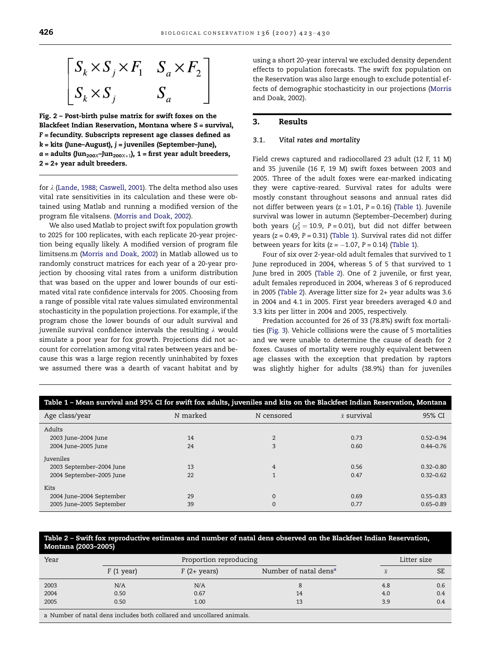<span id="page-3-0"></span>

Fig. 2 – Post-birth pulse matrix for swift foxes on the Blackfeet Indian Reservation, Montana where S = survival, F = fecundity. Subscripts represent age classes defined as k = kits (June–August), j = juveniles (September–June),  $a =$  adults (Jun<sub>200X</sub>-Jun<sub>200X+1</sub>), 1 = first year adult breeders, 2 = 2+ year adult breeders.

for  $\lambda$  ([Lande, 1988; Caswell, 2001\)](#page-6-0). The delta method also uses vital rate sensitivities in its calculation and these were obtained using Matlab and running a modified version of the program file vitalsens. ([Morris and Doak, 2002\)](#page-6-0).

We also used Matlab to project swift fox population growth to 2025 for 100 replicates, with each replicate 20-year projection being equally likely. A modified version of program file limitsens.m ([Morris and Doak, 2002\)](#page-6-0) in Matlab allowed us to randomly construct matrices for each year of a 20-year projection by choosing vital rates from a uniform distribution that was based on the upper and lower bounds of our estimated vital rate confidence intervals for 2005. Choosing from a range of possible vital rate values simulated environmental stochasticity in the population projections. For example, if the program chose the lower bounds of our adult survival and juvenile survival confidence intervals the resulting  $\lambda$  would simulate a poor year for fox growth. Projections did not account for correlation among vital rates between years and because this was a large region recently uninhabited by foxes we assumed there was a dearth of vacant habitat and by

using a short 20-year interval we excluded density dependent effects to population forecasts. The swift fox population on the Reservation was also large enough to exclude potential effects of demographic stochasticity in our projections [\(Morris](#page-6-0) [and Doak, 2002](#page-6-0)).

### 3. Results

#### 3.1. Vital rates and mortality

Field crews captured and radiocollared 23 adult (12 F, 11 M) and 35 juvenile (16 F, 19 M) swift foxes between 2003 and 2005. Three of the adult foxes were ear-marked indicating they were captive-reared. Survival rates for adults were mostly constant throughout seasons and annual rates did not differ between years  $(z = 1.01, P = 0.16)$  (Table 1). Juvenile survival was lower in autumn (September–December) during both years ( $\chi^2$  = 10.9, P = 0.01), but did not differ between years ( $z = 0.49$ ,  $P = 0.31$ ) (Table 1). Survival rates did not differ between years for kits (z =  $-1.07$ , P = 0.14) (Table 1).

Four of six over 2-year-old adult females that survived to 1 June reproduced in 2004, whereas 5 of 5 that survived to 1 June bred in 2005 (Table 2). One of 2 juvenile, or first year, adult females reproduced in 2004, whereas 3 of 6 reproduced in 2005 (Table 2). Average litter size for 2+ year adults was 3.6 in 2004 and 4.1 in 2005. First year breeders averaged 4.0 and 3.3 kits per litter in 2004 and 2005, respectively.

Predation accounted for 26 of 33 (78.8%) swift fox mortalities [\(Fig. 3\)](#page-4-0). Vehicle collisions were the cause of 5 mortalities and we were unable to determine the cause of death for 2 foxes. Causes of mortality were roughly equivalent between age classes with the exception that predation by raptors was slightly higher for adults (38.9%) than for juveniles

| Table 1 – Mean survival and 95% CI for swift fox adults, juveniles and kits on the Blackfeet Indian Reservation, Montana |          |                |                    |               |  |  |
|--------------------------------------------------------------------------------------------------------------------------|----------|----------------|--------------------|---------------|--|--|
| Age class/year                                                                                                           | N marked | N censored     | $\bar{x}$ survival | 95% CI        |  |  |
| Adults                                                                                                                   |          |                |                    |               |  |  |
| 2003 June-2004 June                                                                                                      | 14       | $\overline{2}$ | 0.73               | $0.52 - 0.94$ |  |  |
| 2004 June-2005 June                                                                                                      | 24       | 3              | 0.60               | $0.44 - 0.76$ |  |  |
| Juveniles                                                                                                                |          |                |                    |               |  |  |
| 2003 September-2004 June                                                                                                 | 13       | 4              | 0.56               | $0.32 - 0.80$ |  |  |
| 2004 September-2005 June                                                                                                 | 22       | 1              | 0.47               | $0.32 - 0.62$ |  |  |
| <b>Kits</b>                                                                                                              |          |                |                    |               |  |  |
| 2004 June-2004 September                                                                                                 | 29       | $\mathbf{0}$   | 0.69               | $0.55 - 0.83$ |  |  |
| 2005 June-2005 September                                                                                                 | 39       | $\mathbf 0$    | 0.77               | $0.65 - 0.89$ |  |  |

#### Table 2 – Swift fox reproductive estimates and number of natal dens observed on the Blackfeet Indian Reservation, Montana (2003–2005)

| Year |                     | Proportion reproducing |                                   |              | Litter size |  |
|------|---------------------|------------------------|-----------------------------------|--------------|-------------|--|
|      | $F(1 \text{ year})$ | $F(2+ \text{ years})$  | Number of natal dens <sup>a</sup> | $\mathbf{v}$ | <b>SE</b>   |  |
| 2003 | N/A                 | N/A                    |                                   | 4.8          | 0.6         |  |
| 2004 | 0.50                | 0.67                   | 14                                | 4.0          | 0.4         |  |
| 2005 | 0.50                | 1.00                   | 13                                | 3.9          | 0.4         |  |

a Number of natal dens includes both collared and uncollared animals.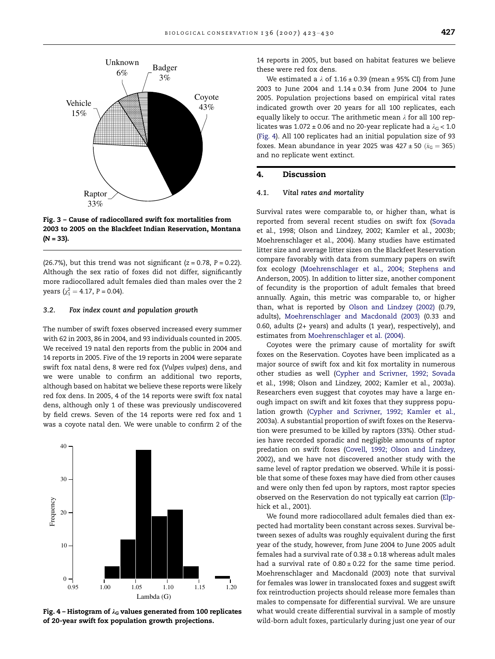<span id="page-4-0"></span>

Fig. 3 – Cause of radiocollared swift fox mortalities from 2003 to 2005 on the Blackfeet Indian Reservation, Montana (N = 33).

(26.7%), but this trend was not significant ( $z = 0.78$ ,  $P = 0.22$ ). Although the sex ratio of foxes did not differ, significantly more radiocollared adult females died than males over the 2 years ( $\chi_1^2 = 4.17$ , P = 0.04).

#### 3.2. Fox index count and population growth

The number of swift foxes observed increased every summer with 62 in 2003, 86 in 2004, and 93 individuals counted in 2005. We received 19 natal den reports from the public in 2004 and 14 reports in 2005. Five of the 19 reports in 2004 were separate swift fox natal dens, 8 were red fox (Vulpes vulpes) dens, and we were unable to confirm an additional two reports, although based on habitat we believe these reports were likely red fox dens. In 2005, 4 of the 14 reports were swift fox natal dens, although only 1 of these was previously undiscovered by field crews. Seven of the 14 reports were red fox and 1 was a coyote natal den. We were unable to confirm 2 of the



Fig. 4 – Histogram of  $\lambda_G$  values generated from 100 replicates of 20-year swift fox population growth projections.

14 reports in 2005, but based on habitat features we believe these were red fox dens.

We estimated a  $\lambda$  of 1.16 ± 0.39 (mean ± 95% CI) from June 2003 to June 2004 and  $1.14 \pm 0.34$  from June 2004 to June 2005. Population projections based on empirical vital rates indicated growth over 20 years for all 100 replicates, each equally likely to occur. The arithmetic mean  $\lambda$  for all 100 replicates was  $1.072 \pm 0.06$  and no 20-year replicate had a  $\lambda_G$  < 1.0 (Fig. 4). All 100 replicates had an initial population size of 93 foxes. Mean abundance in year 2025 was 427 ± 50  $(\bar{x}_{\rm G} = 365)$ and no replicate went extinct.

## 4. Discussion

#### 4.1. Vital rates and mortality

Survival rates were comparable to, or higher than, what is reported from several recent studies on swift fox [\(Sovada](#page-6-0) [et al., 1998; Olson and Lindzey, 2002; Kamler et al., 2003b;](#page-6-0) [Moehrenschlager et al., 2004\)](#page-6-0). Many studies have estimated litter size and average litter sizes on the Blackfeet Reservation compare favorably with data from summary papers on swift fox ecology [\(Moehrenschlager et al., 2004; Stephens and](#page-6-0) [Anderson, 2005\)](#page-6-0). In addition to litter size, another component of fecundity is the proportion of adult females that breed annually. Again, this metric was comparable to, or higher than, what is reported by [Olson and Lindzey \(2002\)](#page-6-0) (0.79, adults), [Moehrenschlager and Macdonald \(2003\)](#page-6-0) (0.33 and 0.60, adults (2+ years) and adults (1 year), respectively), and estimates from [Moehrenschlager et al. \(2004\)](#page-6-0).

Coyotes were the primary cause of mortality for swift foxes on the Reservation. Coyotes have been implicated as a major source of swift fox and kit fox mortality in numerous other studies as well [\(Cypher and Scrivner, 1992; Sovada](#page-6-0) [et al., 1998; Olson and Lindzey, 2002; Kamler et al., 2003a](#page-6-0)). Researchers even suggest that coyotes may have a large enough impact on swift and kit foxes that they suppress population growth [\(Cypher and Scrivner, 1992; Kamler et al.,](#page-6-0) [2003a](#page-6-0)). A substantial proportion of swift foxes on the Reservation were presumed to be killed by raptors (33%). Other studies have recorded sporadic and negligible amounts of raptor predation on swift foxes [\(Covell, 1992; Olson and Lindzey,](#page-6-0) [2002](#page-6-0)), and we have not discovered another study with the same level of raptor predation we observed. While it is possible that some of these foxes may have died from other causes and were only then fed upon by raptors, most raptor species observed on the Reservation do not typically eat carrion ([Elp](#page-6-0)[hick et al., 2001](#page-6-0)).

We found more radiocollared adult females died than expected had mortality been constant across sexes. Survival between sexes of adults was roughly equivalent during the first year of the study, however, from June 2004 to June 2005 adult females had a survival rate of  $0.38 \pm 0.18$  whereas adult males had a survival rate of  $0.80 \pm 0.22$  for the same time period. [Moehrenschlager and Macdonald \(2003\)](#page-6-0) note that survival for females was lower in translocated foxes and suggest swift fox reintroduction projects should release more females than males to compensate for differential survival. We are unsure what would create differential survival in a sample of mostly wild-born adult foxes, particularly during just one year of our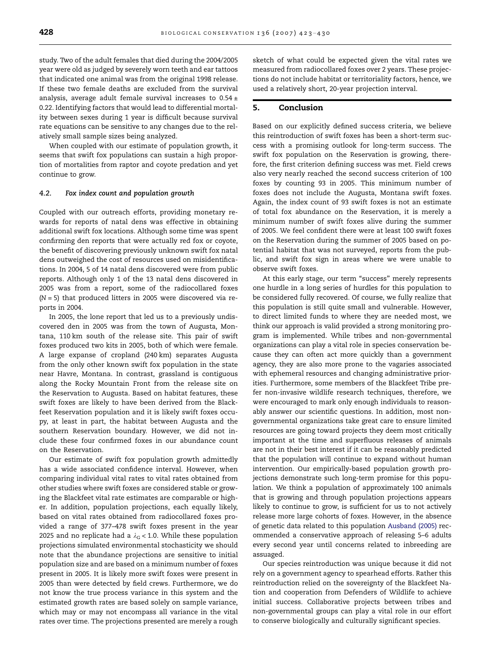study. Two of the adult females that died during the 2004/2005 year were old as judged by severely worn teeth and ear tattoos that indicated one animal was from the original 1998 release. If these two female deaths are excluded from the survival analysis, average adult female survival increases to  $0.54 \pm$ 0.22. Identifying factors that would lead to differential mortality between sexes during 1 year is difficult because survival rate equations can be sensitive to any changes due to the relatively small sample sizes being analyzed.

When coupled with our estimate of population growth, it seems that swift fox populations can sustain a high proportion of mortalities from raptor and coyote predation and yet continue to grow.

#### 4.2. Fox index count and population growth

Coupled with our outreach efforts, providing monetary rewards for reports of natal dens was effective in obtaining additional swift fox locations. Although some time was spent confirming den reports that were actually red fox or coyote, the benefit of discovering previously unknown swift fox natal dens outweighed the cost of resources used on misidentifications. In 2004, 5 of 14 natal dens discovered were from public reports. Although only 1 of the 13 natal dens discovered in 2005 was from a report, some of the radiocollared foxes  $(N = 5)$  that produced litters in 2005 were discovered via reports in 2004.

In 2005, the lone report that led us to a previously undiscovered den in 2005 was from the town of Augusta, Montana, 110 km south of the release site. This pair of swift foxes produced two kits in 2005, both of which were female. A large expanse of cropland (240 km) separates Augusta from the only other known swift fox population in the state near Havre, Montana. In contrast, grassland is contiguous along the Rocky Mountain Front from the release site on the Reservation to Augusta. Based on habitat features, these swift foxes are likely to have been derived from the Blackfeet Reservation population and it is likely swift foxes occupy, at least in part, the habitat between Augusta and the southern Reservation boundary. However, we did not include these four confirmed foxes in our abundance count on the Reservation.

Our estimate of swift fox population growth admittedly has a wide associated confidence interval. However, when comparing individual vital rates to vital rates obtained from other studies where swift foxes are considered stable or growing the Blackfeet vital rate estimates are comparable or higher. In addition, population projections, each equally likely, based on vital rates obtained from radiocollared foxes provided a range of 377–478 swift foxes present in the year 2025 and no replicate had a  $\lambda$ <sub>G</sub> < 1.0. While these population projections simulated environmental stochasticity we should note that the abundance projections are sensitive to initial population size and are based on a minimum number of foxes present in 2005. It is likely more swift foxes were present in 2005 than were detected by field crews. Furthermore, we do not know the true process variance in this system and the estimated growth rates are based solely on sample variance, which may or may not encompass all variance in the vital rates over time. The projections presented are merely a rough

sketch of what could be expected given the vital rates we measured from radiocollared foxes over 2 years. These projections do not include habitat or territoriality factors, hence, we used a relatively short, 20-year projection interval.

## 5. Conclusion

Based on our explicitly defined success criteria, we believe this reintroduction of swift foxes has been a short-term success with a promising outlook for long-term success. The swift fox population on the Reservation is growing, therefore, the first criterion defining success was met. Field crews also very nearly reached the second success criterion of 100 foxes by counting 93 in 2005. This minimum number of foxes does not include the Augusta, Montana swift foxes. Again, the index count of 93 swift foxes is not an estimate of total fox abundance on the Reservation, it is merely a minimum number of swift foxes alive during the summer of 2005. We feel confident there were at least 100 swift foxes on the Reservation during the summer of 2005 based on potential habitat that was not surveyed, reports from the public, and swift fox sign in areas where we were unable to observe swift foxes.

At this early stage, our term "success" merely represents one hurdle in a long series of hurdles for this population to be considered fully recovered. Of course, we fully realize that this population is still quite small and vulnerable. However, to direct limited funds to where they are needed most, we think our approach is valid provided a strong monitoring program is implemented. While tribes and non-governmental organizations can play a vital role in species conservation because they can often act more quickly than a government agency, they are also more prone to the vagaries associated with ephemeral resources and changing administrative priorities. Furthermore, some members of the Blackfeet Tribe prefer non-invasive wildlife research techniques, therefore, we were encouraged to mark only enough individuals to reasonably answer our scientific questions. In addition, most nongovernmental organizations take great care to ensure limited resources are going toward projects they deem most critically important at the time and superfluous releases of animals are not in their best interest if it can be reasonably predicted that the population will continue to expand without human intervention. Our empirically-based population growth projections demonstrate such long-term promise for this population. We think a population of approximately 100 animals that is growing and through population projections appears likely to continue to grow, is sufficient for us to not actively release more large cohorts of foxes. However, in the absence of genetic data related to this population [Ausband \(2005\)](#page-6-0) recommended a conservative approach of releasing 5–6 adults every second year until concerns related to inbreeding are assuaged.

Our species reintroduction was unique because it did not rely on a government agency to spearhead efforts. Rather this reintroduction relied on the sovereignty of the Blackfeet Nation and cooperation from Defenders of Wildlife to achieve initial success. Collaborative projects between tribes and non-governmental groups can play a vital role in our effort to conserve biologically and culturally significant species.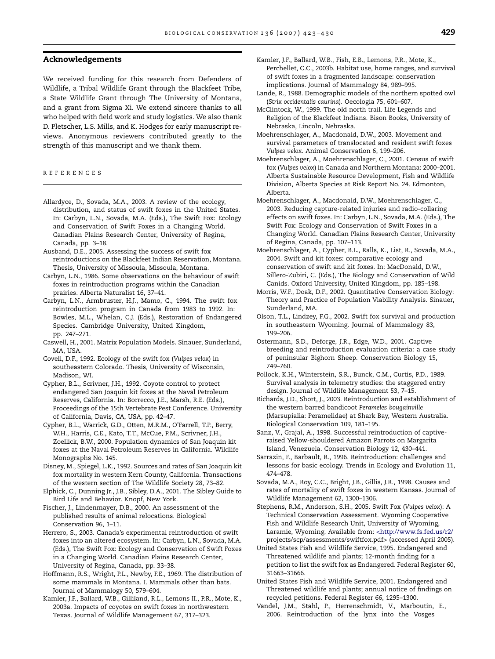#### <span id="page-6-0"></span>Acknowledgements

We received funding for this research from Defenders of Wildlife, a Tribal Wildlife Grant through the Blackfeet Tribe, a State Wildlife Grant through The University of Montana, and a grant from Sigma Xi. We extend sincere thanks to all who helped with field work and study logistics. We also thank D. Pletscher, L.S. Mills, and K. Hodges for early manuscript reviews. Anonymous reviewers contributed greatly to the strength of this manuscript and we thank them.

#### REFERENCES

- Allardyce, D., Sovada, M.A., 2003. A review of the ecology, distribution, and status of swift foxes in the United States. In: Carbyn, L.N., Sovada, M.A. (Eds.), The Swift Fox: Ecology and Conservation of Swift Foxes in a Changing World. Canadian Plains Research Center, University of Regina, Canada, pp. 3–18.
- Ausband, D.E., 2005. Assessing the success of swift fox reintroductions on the Blackfeet Indian Reservation, Montana. Thesis, University of Missoula, Missoula, Montana.
- Carbyn, L.N., 1986. Some observations on the behaviour of swift foxes in reintroduction programs within the Canadian prairies. Alberta Naturalist 16, 37–41.
- Carbyn, L.N., Armbruster, H.J., Mamo, C., 1994. The swift fox reintroduction program in Canada from 1983 to 1992. In: Bowles, M.L., Whelan, C.J. (Eds.), Restoration of Endangered Species. Cambridge University, United Kingdom, pp. 247–271.
- Caswell, H., 2001. Matrix Population Models. Sinauer, Sunderland, MA, USA.
- Covell, D.F., 1992. Ecology of the swift fox (Vulpes velox) in southeastern Colorado. Thesis, University of Wisconsin, Madison, WI.
- Cypher, B.L., Scrivner, J.H., 1992. Coyote control to protect endangered San Joaquin kit foxes at the Naval Petroleum Reserves, California. In: Borrecco, J.E., Marsh, R.E. (Eds.), Proceedings of the 15th Vertebrate Pest Conference. University of California, Davis, CA, USA, pp. 42–47.
- Cypher, B.L., Warrick, G.D., Otten, M.R.M., O'Farrell, T.P., Berry, W.H., Harris, C.E., Kato, T.T., McCue, P.M., Scrivner, J.H., Zoellick, B.W., 2000. Population dynamics of San Joaquin kit foxes at the Naval Petroleum Reserves in California. Wildlife Monographs No. 145.
- Disney, M., Spiegel, L.K., 1992. Sources and rates of San Joaquin kit fox mortality in western Kern County, California. Transactions of the western section of The Wildlife Society 28, 73–82.
- Elphick, C., Dunning Jr., J.B., Sibley, D.A., 2001. The Sibley Guide to Bird Life and Behavior. Knopf, New York.
- Fischer, J., Lindenmayer, D.B., 2000. An assessment of the published results of animal relocations. Biological Conservation 96, 1–11.
- Herrero, S., 2003. Canada's experimental reintroduction of swift foxes into an altered ecosystem. In: Carbyn, L.N., Sovada, M.A. (Eds.), The Swift Fox: Ecology and Conservation of Swift Foxes in a Changing World. Canadian Plains Research Center, University of Regina, Canada, pp. 33–38.
- Hoffmann, R.S., Wright, P.L., Newby, F.E., 1969. The distribution of some mammals in Montana. I. Mammals other than bats. Journal of Mammalogy 50, 579–604.
- Kamler, J.F., Ballard, W.B., Gilliland, R.L., Lemons II., P.R., Mote, K., 2003a. Impacts of coyotes on swift foxes in northwestern Texas. Journal of Wildlife Management 67, 317–323.
- Kamler, J.F., Ballard, W.B., Fish, E.B., Lemons, P.R., Mote, K., Perchellet, C.C., 2003b. Habitat use, home ranges, and survival of swift foxes in a fragmented landscape: conservation implications. Journal of Mammalogy 84, 989–995.
- Lande, R., 1988. Demographic models of the northern spotted owl (Strix occidentalis caurina). Oecologia 75, 601–607.
- McClintock, W., 1999. The old north trail. Life Legends and Religion of the Blackfeet Indians. Bison Books, University of Nebraska, Lincoln, Nebraska.
- Moehrenschlager, A., Macdonald, D.W., 2003. Movement and survival parameters of translocated and resident swift foxes Vulpes velox. Animal Conservation 6, 199–206.
- Moehrenschlager, A., Moehrenschlager, C., 2001. Census of swift fox (Vulpes velox) in Canada and Northern Montana: 2000–2001. Alberta Sustainable Resource Development, Fish and Wildlife Division, Alberta Species at Risk Report No. 24. Edmonton, Alberta.
- Moehrenschlager, A., Macdonald, D.W., Moehrenschlager, C., 2003. Reducing capture-related injuries and radio-collaring effects on swift foxes. In: Carbyn, L.N., Sovada, M.A. (Eds.), The Swift Fox: Ecology and Conservation of Swift Foxes in a Changing World. Canadian Plains Research Center, University of Regina, Canada, pp. 107–113.
- Moehrenschlager, A., Cypher, B.L., Ralls, K., List, R., Sovada, M.A., 2004. Swift and kit foxes: comparative ecology and conservation of swift and kit foxes. In: MacDonald, D.W., Sillero-Zubiri, C. (Eds.), The Biology and Conservation of Wild Canids. Oxford University, United Kingdom, pp. 185–198.
- Morris, W.F., Doak, D.F., 2002. Quantitative Conservation Biology: Theory and Practice of Population Viability Analysis. Sinauer, Sunderland, MA.
- Olson, T.L., Lindzey, F.G., 2002. Swift fox survival and production in southeastern Wyoming. Journal of Mammalogy 83, 199–206.
- Ostermann, S.D., Deforge, J.R., Edge, W.D., 2001. Captive breeding and reintroduction evaluation criteria: a case study of peninsular Bighorn Sheep. Conservation Biology 15, 749–760.
- Pollock, K.H., Winterstein, S.R., Bunck, C.M., Curtis, P.D., 1989. Survival analysis in telemetry studies: the staggered entry design. Journal of Wildlife Management 53, 7–15.
- Richards, J.D., Short, J., 2003. Reintroduction and establishment of the western barred bandicoot Perameles bougainville (Marsupialia: Peramelidae) at Shark Bay, Western Australia. Biological Conservation 109, 181–195.
- Sanz, V., Grajal, A., 1998. Successful reintroduction of captiveraised Yellow-shouldered Amazon Parrots on Margarita Island, Venezuela. Conservation Biology 12, 430–441.
- Sarrazin, F., Barbault, R., 1996. Reintroduction: challenges and lessons for basic ecology. Trends in Ecology and Evolution 11, 474–478.
- Sovada, M.A., Roy, C.C., Bright, J.B., Gillis, J.R., 1998. Causes and rates of mortality of swift foxes in western Kansas. Journal of Wildlife Management 62, 1300–1306.
- Stephens, R.M., Anderson, S.H., 2005. Swift Fox (Vulpes velox): A Technical Conservation Assessment. Wyoming Cooperative Fish and Wildlife Research Unit, University of Wyoming, Laramie, Wyoming. Available from: [<http://www.fs.fed.us/r2/](http://www.fs.fed.us/r2/projects/scp/assessments/swiftfox.pdf) [projects/scp/assessments/swiftfox.pdf>](http://www.fs.fed.us/r2/projects/scp/assessments/swiftfox.pdf) (accessed April 2005).
- United States Fish and Wildlife Service, 1995. Endangered and Threatened wildlife and plants; 12-month finding for a petition to list the swift fox as Endangered. Federal Register 60, 31663–31666.
- United States Fish and Wildlife Service, 2001. Endangered and Threatened wildlife and plants; annual notice of findings on recycled petitions. Federal Register 66, 1295–1300.
- Vandel, J.M., Stahl, P., Herrenschmidt, V., Marboutin, E., 2006. Reintroduction of the lynx into the Vosges